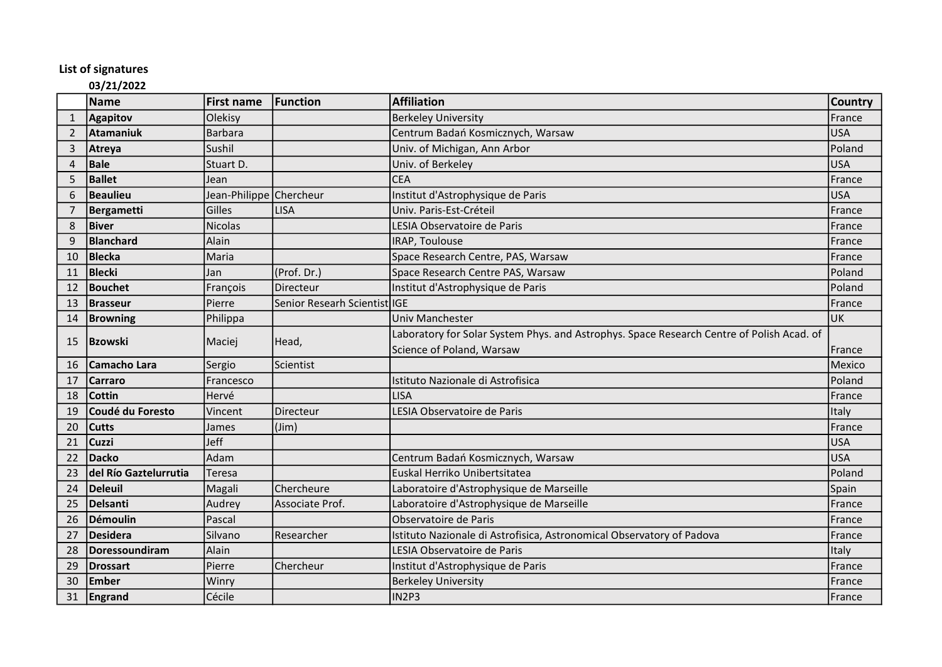## List of signatures

## 03/21/2022

|                | Name                   | <b>First name</b>       | Function                     | <b>Affiliation</b>                                                                        | <b>Country</b> |
|----------------|------------------------|-------------------------|------------------------------|-------------------------------------------------------------------------------------------|----------------|
| $\mathbf{1}$   | <b>Agapitov</b>        | Olekisy                 |                              | <b>Berkeley University</b>                                                                | <b>IFrance</b> |
| 2              | <b>Atamaniuk</b>       | <b>Barbara</b>          |                              | Centrum Badań Kosmicznych, Warsaw                                                         | <b>USA</b>     |
| 3              | <b>Atreya</b>          | Sushil                  |                              | Univ. of Michigan, Ann Arbor                                                              | Poland         |
| $\overline{4}$ | Bale                   | Stuart D.               |                              | Univ. of Berkeley                                                                         | USA            |
| 5              | <b>Ballet</b>          | Jean                    |                              | <b>CEA</b>                                                                                | France         |
| 6              | Beaulieu               | Jean-Philippe Chercheur |                              | Institut d'Astrophysique de Paris                                                         | USA            |
| 7              | <b>Bergametti</b>      | Gilles                  | <b>LISA</b>                  | Univ. Paris-Est-Créteil                                                                   | <b>IFrance</b> |
| 8              | <b>Biver</b>           | <b>Nicolas</b>          |                              | LESIA Observatoire de Paris                                                               | France         |
| 9              | Blanchard              | Alain                   |                              | IRAP, Toulouse                                                                            | France         |
| 10             | <b>Blecka</b>          | Maria                   |                              | Space Research Centre, PAS, Warsaw                                                        | <b>France</b>  |
| 11             | Blecki                 | Jan                     | (Prof. Dr.)                  | Space Research Centre PAS, Warsaw                                                         | Poland         |
| 12             | Bouchet                | François                | Directeur                    | Institut d'Astrophysique de Paris                                                         | Poland         |
| 13             | Brasseur               | Pierre                  | Senior Researh Scientist IGE |                                                                                           | France         |
| 14             | <b>Browning</b>        | Philippa                |                              | Univ Manchester                                                                           | <b>UK</b>      |
| 15             | Bzowski                | Maciej                  | Head,                        | Laboratory for Solar System Phys. and Astrophys. Space Research Centre of Polish Acad. of |                |
|                |                        |                         |                              | Science of Poland, Warsaw                                                                 | <b>IFrance</b> |
| 16             | <b>Camacho Lara</b>    | Sergio                  | Scientist                    |                                                                                           | Mexico         |
| 17             | <b>Carraro</b>         | Francesco               |                              | Istituto Nazionale di Astrofisica                                                         | Poland         |
| 18             | <b>Cottin</b>          | Hervé                   |                              | <b>LISA</b>                                                                               | France         |
| 19             | Coudé du Foresto       | Vincent                 | Directeur                    | LESIA Observatoire de Paris                                                               | Italy          |
| 20             | <b>Cutts</b>           | James                   | $(\text{Jim})$               |                                                                                           | France         |
| 21             | <b>Cuzzi</b>           | Jeff                    |                              |                                                                                           | lusa           |
| 22             | <b>Dacko</b>           | Adam                    |                              | Centrum Badań Kosmicznych, Warsaw                                                         | <b>USA</b>     |
| 23             | ldel Río Gaztelurrutia | Teresa                  |                              | Euskal Herriko Unibertsitatea                                                             | <b>Poland</b>  |
| 24             | Deleuil                | Magali                  | Chercheure                   | Laboratoire d'Astrophysique de Marseille                                                  | Spain          |
| 25             | Delsanti               | Audrey                  | Associate Prof.              | Laboratoire d'Astrophysique de Marseille                                                  | France         |
| 26             | Démoulin               | Pascal                  |                              | Observatoire de Paris                                                                     | France         |
| 27             | Desidera               | Silvano                 | Researcher                   | Istituto Nazionale di Astrofisica, Astronomical Observatory of Padova                     | France         |
| 28             | Doressoundiram         | Alain                   |                              | LESIA Observatoire de Paris                                                               | Italy          |
| 29             | Drossart               | Pierre                  | Chercheur                    | Institut d'Astrophysique de Paris                                                         | <b>IFrance</b> |
| 30             | Ember                  | Winry                   |                              | <b>Berkeley University</b>                                                                | France         |
| 31             | Engrand                | Cécile                  |                              | IN <sub>2P3</sub>                                                                         | France         |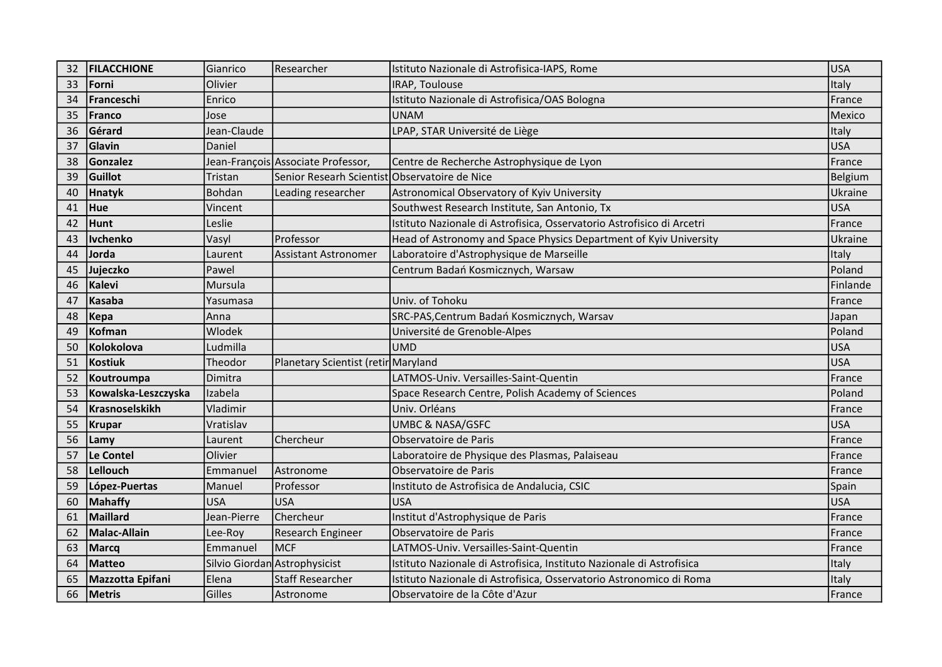| 32 | <b>IFILACCHIONE</b> | Gianrico      | Researcher                                    | Istituto Nazionale di Astrofisica-IAPS, Rome                           | <b>USA</b> |
|----|---------------------|---------------|-----------------------------------------------|------------------------------------------------------------------------|------------|
| 33 | Forni               | Olivier       |                                               | <b>IRAP, Toulouse</b>                                                  | Italy      |
| 34 | Franceschi          | Enrico        |                                               | Istituto Nazionale di Astrofisica/OAS Bologna                          | France     |
| 35 | Franco              | Jose          |                                               | <b>UNAM</b>                                                            | Mexico     |
| 36 | Gérard              | Jean-Claude   |                                               | LPAP, STAR Université de Liège                                         | Italy      |
| 37 | Glavin              | Daniel        |                                               |                                                                        | <b>USA</b> |
| 38 | Gonzalez            |               | Jean-François Associate Professor,            | Centre de Recherche Astrophysique de Lyon                              | France     |
| 39 | Guillot             | Tristan       | Senior Researh Scientist Observatoire de Nice |                                                                        | Belgium    |
| 40 | <b>Hnatyk</b>       | Bohdan        | Leading researcher                            | Astronomical Observatory of Kyiv University                            | Ukraine    |
| 41 | Hue                 | Vincent       |                                               | Southwest Research Institute, San Antonio, Tx                          | <b>USA</b> |
| 42 | Hunt                | Leslie        |                                               | Istituto Nazionale di Astrofisica, Osservatorio Astrofisico di Arcetri | France     |
| 43 | <b>Ivchenko</b>     | Vasyl         | Professor                                     | Head of Astronomy and Space Physics Department of Kyiv University      | Ukraine    |
| 44 | Jorda               | Laurent       | <b>Assistant Astronomer</b>                   | Laboratoire d'Astrophysique de Marseille                               | Italy      |
| 45 | Jujeczko            | Pawel         |                                               | Centrum Badań Kosmicznych, Warsaw                                      | Poland     |
| 46 | Kalevi              | Mursula       |                                               |                                                                        | Finlande   |
| 47 | Kasaba              | Yasumasa      |                                               | Univ. of Tohoku                                                        | France     |
| 48 | Kepa                | Anna          |                                               | SRC-PAS, Centrum Badań Kosmicznych, Warsav                             | Japan      |
| 49 | Kofman              | <b>Wlodek</b> |                                               | Université de Grenoble-Alpes                                           | Poland     |
| 50 | Kolokolova          | Ludmilla      |                                               | <b>UMD</b>                                                             | <b>USA</b> |
| 51 | Kostiuk             | Theodor       | Planetary Scientist (retir Maryland           |                                                                        | <b>USA</b> |
| 52 | Koutroumpa          | Dimitra       |                                               | LATMOS-Univ. Versailles-Saint-Quentin                                  | France     |
| 53 | Kowalska-Leszczyska | Izabela       |                                               | Space Research Centre, Polish Academy of Sciences                      | Poland     |
| 54 | Krasnoselskikh      | Vladimir      |                                               | Univ. Orléans                                                          | France     |
| 55 | <b>Krupar</b>       | Vratislav     |                                               | <b>UMBC &amp; NASA/GSFC</b>                                            | <b>USA</b> |
| 56 | Lamy                | Laurent       | Chercheur                                     | Observatoire de Paris                                                  | France     |
| 57 | Le Contel           | Olivier       |                                               | Laboratoire de Physique des Plasmas, Palaiseau                         | France     |
| 58 | Lellouch            | Emmanuel      | lAstronome                                    | Observatoire de Paris                                                  | France     |
| 59 | López-Puertas       | Manuel        | Professor                                     | Instituto de Astrofisica de Andalucia, CSIC                            | Spain      |
| 60 | Mahaffy             | <b>USA</b>    | USA                                           | <b>USA</b>                                                             | <b>USA</b> |
| 61 | Maillard            | Jean-Pierre   | Chercheur                                     | Institut d'Astrophysique de Paris                                      | France     |
| 62 | <b>Malac-Allain</b> | Lee-Roy       | Research Engineer                             | Observatoire de Paris                                                  | France     |
| 63 | Marcq               | Emmanuel      | <b>MCF</b>                                    | LATMOS-Univ. Versailles-Saint-Quentin                                  | France     |
| 64 | <b>Matteo</b>       |               | Silvio Giordan Astrophysicist                 | Istituto Nazionale di Astrofisica, Instituto Nazionale di Astrofisica  | Italy      |
| 65 | Mazzotta Epifani    | Elena         | <b>Staff Researcher</b>                       | Istituto Nazionale di Astrofisica, Osservatorio Astronomico di Roma    | Italy      |
| 66 | Metris              | Gilles        | Astronome                                     | Observatoire de la Côte d'Azur                                         | France     |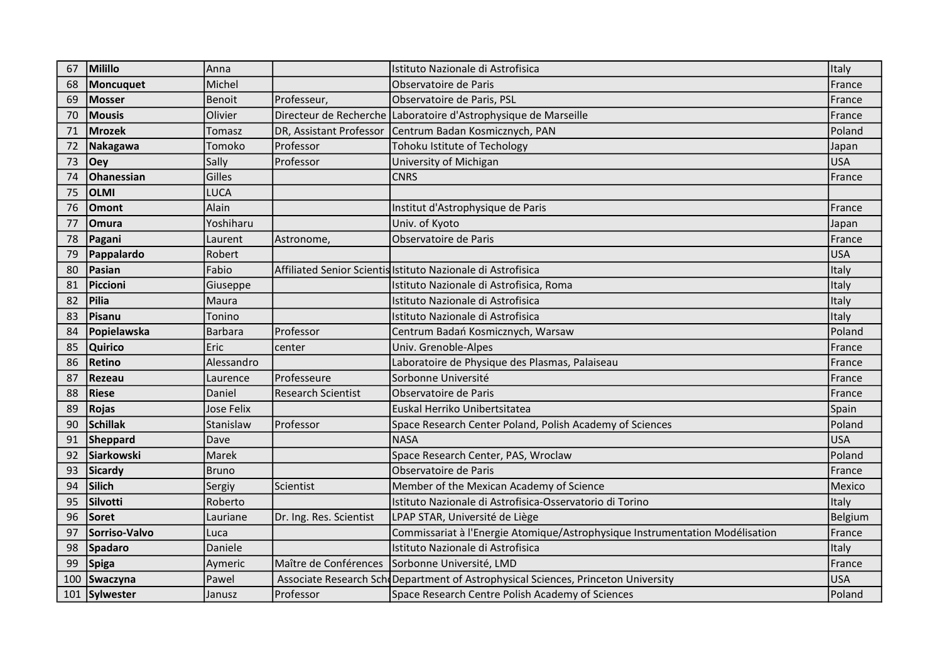| 67  | Milillo       | Anna           |                           | Istituto Nazionale di Astrofisica                                                 | Italy          |
|-----|---------------|----------------|---------------------------|-----------------------------------------------------------------------------------|----------------|
| 68  | Moncuquet     | Michel         |                           | Observatoire de Paris                                                             | France         |
| 69  | <b>Mosser</b> | Benoit         | Professeur,               | Observatoire de Paris, PSL                                                        | France         |
| 70  | <b>Mousis</b> | Olivier        |                           | Directeur de Recherche Laboratoire d'Astrophysique de Marseille                   | France         |
| 71  | <b>Mrozek</b> | Tomasz         | DR, Assistant Professor   | Centrum Badan Kosmicznych, PAN                                                    | Poland         |
| 72  | Nakagawa      | Tomoko         | Professor                 | Tohoku Istitute of Techology                                                      | Japan          |
| 73  | Oey           | Sally          | Professor                 | University of Michigan                                                            | <b>USA</b>     |
| 74  | Ohanessian    | Gilles         |                           | <b>CNRS</b>                                                                       | France         |
| 75  | <b>OLMI</b>   | LUCA           |                           |                                                                                   |                |
| 76  | <b>Omont</b>  | Alain          |                           | Institut d'Astrophysique de Paris                                                 | France         |
| 77  | Omura         | Yoshiharu      |                           | Univ. of Kyoto                                                                    | Japan          |
| 78  | Pagani        | Laurent        | Astronome,                | Observatoire de Paris                                                             | France         |
| 79  | Pappalardo    | Robert         |                           |                                                                                   | <b>USA</b>     |
| 80  | Pasian        | Fabio          |                           | Affiliated Senior Scientis Istituto Nazionale di Astrofisica                      | Italy          |
| 81  | Piccioni      | Giuseppe       |                           | Istituto Nazionale di Astrofisica, Roma                                           | Italy          |
| 82  | <b>Pilia</b>  | Maura          |                           | Istituto Nazionale di Astrofisica                                                 | Italy          |
| 83  | Pisanu        | Tonino         |                           | Istituto Nazionale di Astrofisica                                                 | Italy          |
| 84  | Popielawska   | <b>Barbara</b> | Professor                 | Centrum Badań Kosmicznych, Warsaw                                                 | Poland         |
| 85  | Quirico       | Eric           | center                    | Univ. Grenoble-Alpes                                                              | France         |
| 86  | <b>Retino</b> | Alessandro     |                           | Laboratoire de Physique des Plasmas, Palaiseau                                    | France         |
| 87  | <b>Rezeau</b> | Laurence       | <b>Professeure</b>        | Sorbonne Université                                                               | France         |
| 88  | <b>Riese</b>  | Daniel         | <b>Research Scientist</b> | Observatoire de Paris                                                             | France         |
| 89  | <b>Rojas</b>  | Jose Felix     |                           | Euskal Herriko Unibertsitatea                                                     | Spain          |
| 90  | Schillak      | Stanislaw      | Professor                 | Space Research Center Poland, Polish Academy of Sciences                          | Poland         |
| 91  | Sheppard      | Dave           |                           | <b>NASA</b>                                                                       | <b>USA</b>     |
| 92  | Siarkowski    | Marek          |                           | Space Research Center, PAS, Wroclaw                                               | Poland         |
| 93  | Sicardy       | <b>Bruno</b>   |                           | Observatoire de Paris                                                             | France         |
| 94  | Silich        | Sergiy         | Scientist                 | Member of the Mexican Academy of Science                                          | Mexico         |
| 95  | Silvotti      | Roberto        |                           | Istituto Nazionale di Astrofisica-Osservatorio di Torino                          | Italy          |
| 96  | lSoret        | Lauriane       | Dr. Ing. Res. Scientist   | LPAP STAR, Université de Liège                                                    | <b>Belgium</b> |
| 97  | Sorriso-Valvo | Luca           |                           | Commissariat à l'Energie Atomique/Astrophysique Instrumentation Modélisation      | France         |
| 98  | Spadaro       | Daniele        |                           | Istituto Nazionale di Astrofisica                                                 | Italy          |
| 99  | Spiga         | Aymeric        | Maître de Conférences     | Sorbonne Université, LMD                                                          | France         |
| 100 | Swaczyna      | Pawel          |                           | Associate Research Sch Department of Astrophysical Sciences, Princeton University | <b>USA</b>     |
| 101 | Sylwester     | Janusz         | Professor                 | Space Research Centre Polish Academy of Sciences                                  | Poland         |